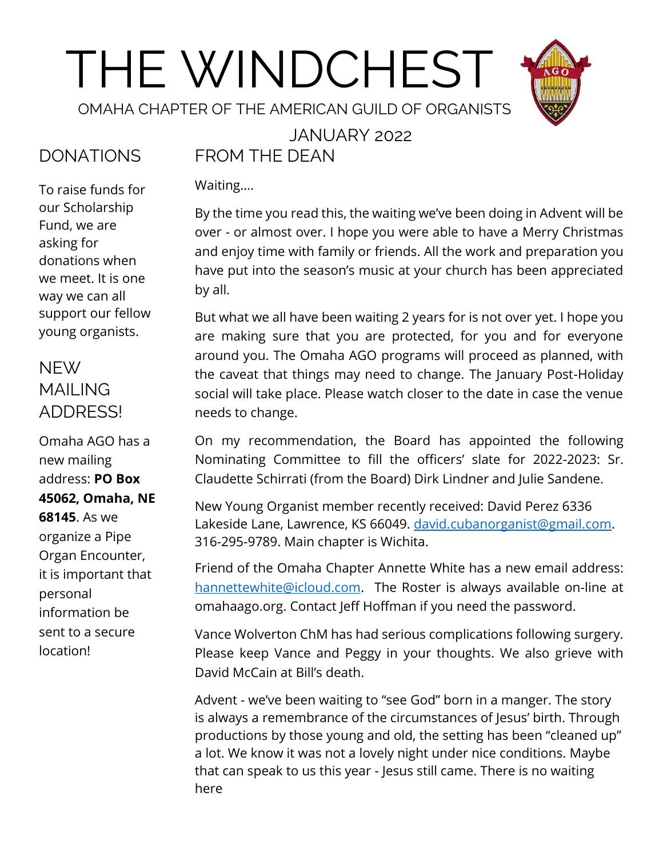# THE WINDCHEST



OMAHA CHAPTER OF THE AMERICAN GUILD OF ORGANISTS

#### JANUARY 2022

# DONATIONS

To raise funds for our Scholarship Fund, we are asking for donations when we meet. It is one way we can all support our fellow young organists.

## NEW MAILING ADDRESS!

Omaha AGO has a new mailing address: **PO Box 45062, Omaha, NE 68145**. As we organize a Pipe Organ Encounter, it is important that personal information be sent to a secure location!

# FROM THE DEAN

Waiting….

By the time you read this, the waiting we've been doing in Advent will be over - or almost over. I hope you were able to have a Merry Christmas and enjoy time with family or friends. All the work and preparation you have put into the season's music at your church has been appreciated by all.

But what we all have been waiting 2 years for is not over yet. I hope you are making sure that you are protected, for you and for everyone around you. The Omaha AGO programs will proceed as planned, with the caveat that things may need to change. The January Post-Holiday social will take place. Please watch closer to the date in case the venue needs to change.

On my recommendation, the Board has appointed the following Nominating Committee to fill the officers' slate for 2022-2023: Sr. Claudette Schirrati (from the Board) Dirk Lindner and Julie Sandene.

New Young Organist member recently received: David Perez 6336 Lakeside Lane, Lawrence, KS 66049. [david.cubanorganist@gmail.com.](mailto:david.cubanorganist@gmail.com) 316-295-9789. Main chapter is Wichita.

Friend of the Omaha Chapter Annette White has a new email address: [hannettewhite@icloud.com.](mailto:hannettewhite@icloud.com) The Roster is always available on-line at omahaago.org. Contact Jeff Hoffman if you need the password.

Vance Wolverton ChM has had serious complications following surgery. Please keep Vance and Peggy in your thoughts. We also grieve with David McCain at Bill's death.

Advent - we've been waiting to "see God" born in a manger. The story is always a remembrance of the circumstances of Jesus' birth. Through productions by those young and old, the setting has been "cleaned up" a lot. We know it was not a lovely night under nice conditions. Maybe that can speak to us this year - Jesus still came. There is no waiting here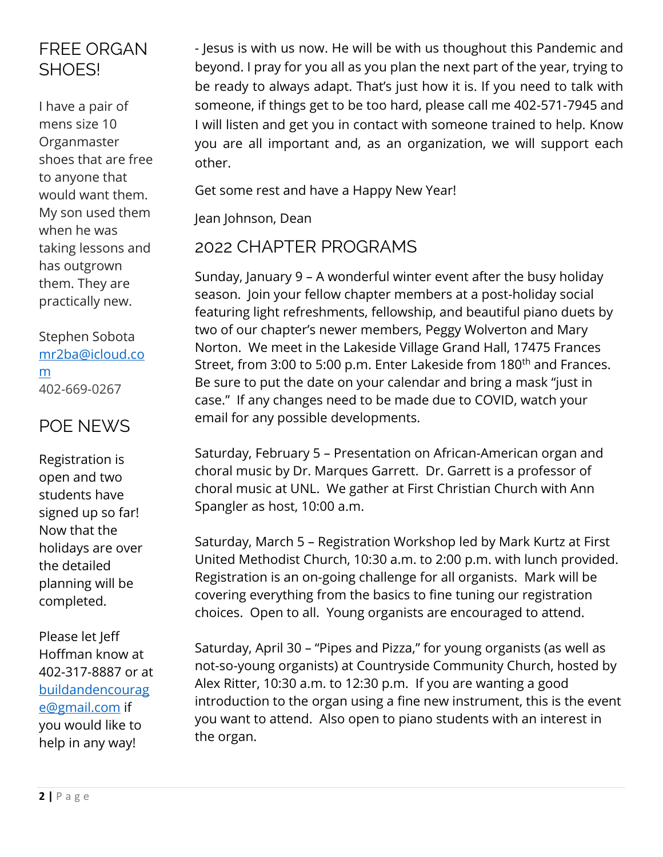#### FREE ORGAN SHOES!

I have a pair of mens size 10 Organmaster shoes that are free to anyone that would want them. My son used them when he was taking lessons and has outgrown them. They are practically new.

Stephen Sobota [mr2ba@icloud.co](mailto:mr2ba@icloud.com) [m](mailto:mr2ba@icloud.com) 402-669-0267

#### POE NEWS

Registration is open and two students have signed up so far! Now that the holidays are over the detailed planning will be completed.

Please let Jeff Hoffman know at 402-317-8887 or at [buildandencourag](mailto:buildandencourage@gmail.com) [e@gmail.com](mailto:buildandencourage@gmail.com) if you would like to help in any way!

- Jesus is with us now. He will be with us thoughout this Pandemic and beyond. I pray for you all as you plan the next part of the year, trying to be ready to always adapt. That's just how it is. If you need to talk with someone, if things get to be too hard, please call me 402-571-7945 and I will listen and get you in contact with someone trained to help. Know you are all important and, as an organization, we will support each other.

Get some rest and have a Happy New Year!

Jean Johnson, Dean

#### 2022 CHAPTER PROGRAMS

Sunday, January 9 – A wonderful winter event after the busy holiday season. Join your fellow chapter members at a post-holiday social featuring light refreshments, fellowship, and beautiful piano duets by two of our chapter's newer members, Peggy Wolverton and Mary Norton. We meet in the Lakeside Village Grand Hall, 17475 Frances Street, from 3:00 to 5:00 p.m. Enter Lakeside from 180<sup>th</sup> and Frances. Be sure to put the date on your calendar and bring a mask "just in case." If any changes need to be made due to COVID, watch your email for any possible developments.

Saturday, February 5 – Presentation on African-American organ and choral music by Dr. Marques Garrett. Dr. Garrett is a professor of choral music at UNL. We gather at First Christian Church with Ann Spangler as host, 10:00 a.m.

Saturday, March 5 – Registration Workshop led by Mark Kurtz at First United Methodist Church, 10:30 a.m. to 2:00 p.m. with lunch provided. Registration is an on-going challenge for all organists. Mark will be covering everything from the basics to fine tuning our registration choices. Open to all. Young organists are encouraged to attend.

Saturday, April 30 – "Pipes and Pizza," for young organists (as well as not-so-young organists) at Countryside Community Church, hosted by Alex Ritter, 10:30 a.m. to 12:30 p.m. If you are wanting a good introduction to the organ using a fine new instrument, this is the event you want to attend. Also open to piano students with an interest in the organ.